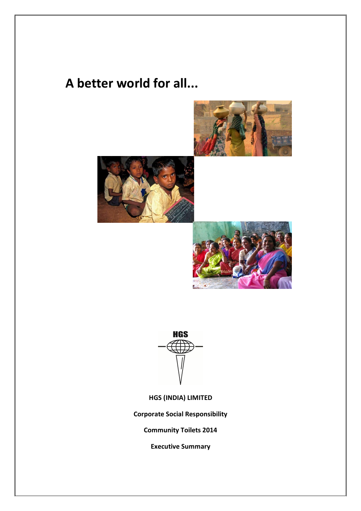## **A better world for all...**









**HGS (INDIA) LIMITED**

**Corporate Social Responsibility**

**Community Toilets 2014**

**Executive Summary**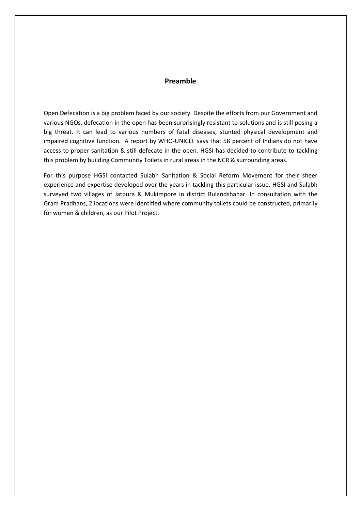## **Preamble**

Open Defecation is a big problem faced by our society. Despite the efforts from our Government and various NGOs, defecation in the open has been surprisingly resistant to solutions and is still posing a big threat. It can lead to various numbers of fatal diseases, stunted physical development and impaired cognitive function. A report by WHO-UNICEF says that 58 percent of Indians do not have access to proper sanitation & still defecate in the open. HGSI has decided to contribute to tackling this problem by building Community Toilets in rural areas in the NCR & surrounding areas.

For this purpose HGSI contacted Sulabh Sanitation & Social Reform Movement for their sheer experience and expertise developed over the years in tackling this particular issue. HGSI and Sulabh surveyed two villages of Jatpura & Mukimpore in district Bulandshahar. In consultation with the Gram Pradhans, 2 locations were identified where community toilets could be constructed, primarily for women & children, as our Pilot Project.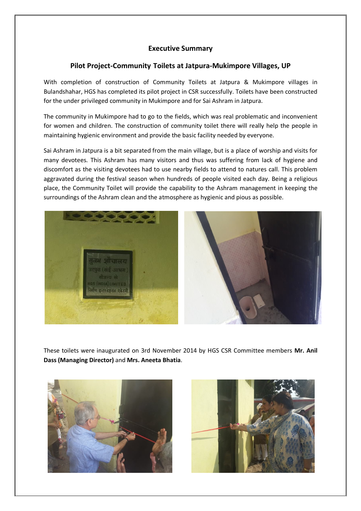## **Executive Summary**

## **Pilot Project-Community Toilets at Jatpura-Mukimpore Villages, UP**

With completion of construction of Community Toilets at Jatpura & Mukimpore villages in Bulandshahar, HGS has completed its pilot project in CSR successfully. Toilets have been constructed for the under privileged community in Mukimpore and for Sai Ashram in Jatpura.

The community in Mukimpore had to go to the fields, which was real problematic and inconvenient for women and children. The construction of community toilet there will really help the people in maintaining hygienic environment and provide the basic facility needed by everyone.

Sai Ashram in Jatpura is a bit separated from the main village, but is a place of worship and visits for many devotees. This Ashram has many visitors and thus was suffering from lack of hygiene and discomfort as the visiting devotees had to use nearby fields to attend to natures call. This problem aggravated during the festival season when hundreds of people visited each day. Being a religious place, the Community Toilet will provide the capability to the Ashram management in keeping the surroundings of the Ashram clean and the atmosphere as hygienic and pious as possible.



These toilets were inaugurated on 3rd November 2014 by HGS CSR Committee members **Mr. Anil Dass (Managing Director)** and **Mrs. Aneeta Bhatia**.